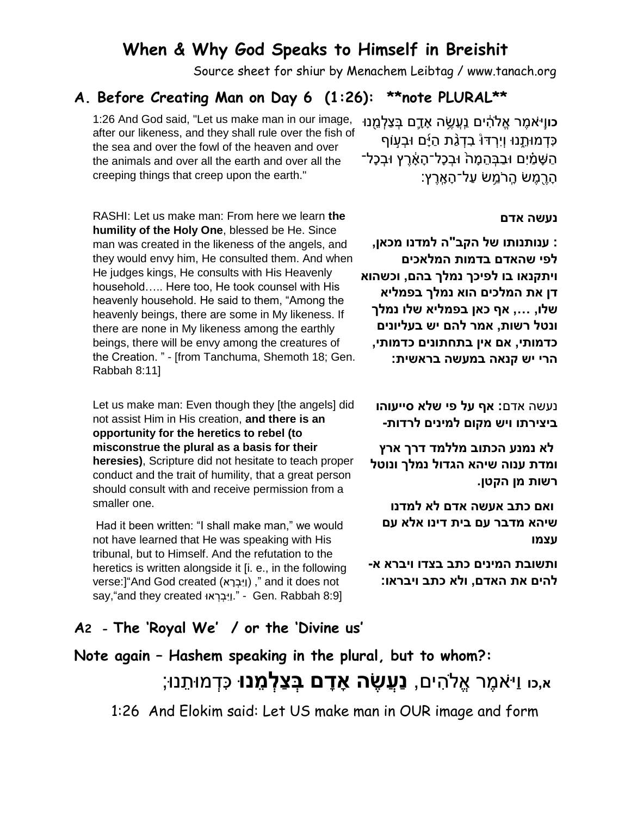### **When & Why God Speaks to Himself in Breishit**

Source sheet for shiur by Menachem Leibtag / www.tanach.org

### **A. Before Creating Man on Day 6 (1:26): \*\*note PLURAL\*\***

1:26 And God said, "Let us make man in our image, <u>בווָי<sup>ֵ</sup>אמֶר אֱלֹהִים נַעֲשֶ</u>ׂה אָדֶם בְּצַלְּמֵֽנוּ after our likeness, and they shall rule over the fish of the sea and over the fowl of the heaven and over the animals and over all the earth and over all the creeping things that creep upon the earth."

כִּדְמוּתֵנוּ וְיָרְדּוْ בְדָגֶת הַיָּ<sup>ׂ</sup>ם וּבְעוֹף הַשָּׁמִּים וּבִבַּהמַהֹ וּבַכָּל־הַאֲרֵץ וּבִכָּל־ ֹהֶרֶמֶשׂ הֶרֹמֱשׂ עַל־הָאֶרֶץ:

#### **נעשה אדם**

**: ענותנותו של הקב"ה למדנו מכאן, לפי שהאדם בדמות המלאכים ויתקנאו בו לפיכך נמלך בהם, וכשהוא דן את המלכים הוא נמלך בפמליא שלו, ..., אף כאן בפמליא שלו נמלך ונטל רשות, אמר להם יש בעליונים כדמותי, אם אין בתחתונים כדמותי, הרי יש קנאה במעשה בראשית:**

נעשה אדם**: אף על פי שלא סייעוהו ביצירתו ויש מקום למינים לרדות-**

**לא נמנע הכתוב מללמד דרך ארץ ומדת ענוה שיהא הגדול נמלך ונוטל רשות מן הקטן.**

**ואם כתב אעשה אדם לא למדנו שיהא מדבר עם בית דינו אלא עם עצמו**

**ותשובת המינים כתב בצדו ויברא א- להים את האדם, ולא כתב ויבראו:**

### RASHI: Let us make man: From here we learn **the humility of the Holy One**, blessed be He. Since man was created in the likeness of the angels, and they would envy him, He consulted them. And when He judges kings, He consults with His Heavenly household….. Here too, He took counsel with His heavenly household. He said to them, "Among the heavenly beings, there are some in My likeness. If there are none in My likeness among the earthly beings, there will be envy among the creatures of the Creation. " - [from Tanchuma, Shemoth 18; Gen. Rabbah 8:11]

Let us make man: Even though they [the angels] did not assist Him in His creation, **and there is an opportunity for the heretics to rebel (to misconstrue the plural as a basis for their heresies)**, Scripture did not hesitate to teach proper conduct and the trait of humility, that a great person should consult with and receive permission from a smaller one.

Had it been written: "I shall make man," we would not have learned that He was speaking with His tribunal, but to Himself. And the refutation to the heretics is written alongside it [i. e., in the following verse:] "And God created (וַיִּבְרָא)," and it does not say, and they created .".ויבראו say, "and they created ."

### **A2 - The 'Royal We' / or the 'Divine us'**

# **Note again – Hashem speaking in the plural, but to whom?:**

**א,כו** וַי אמֶ ר אֱֹלה ים, **נַעֲשֶׂ ה אָ דָ ם בְּ צַלְּ מֵ נּו** כ דְּ מּות נּו;

1:26 And Elokim said: Let US make man in OUR image and form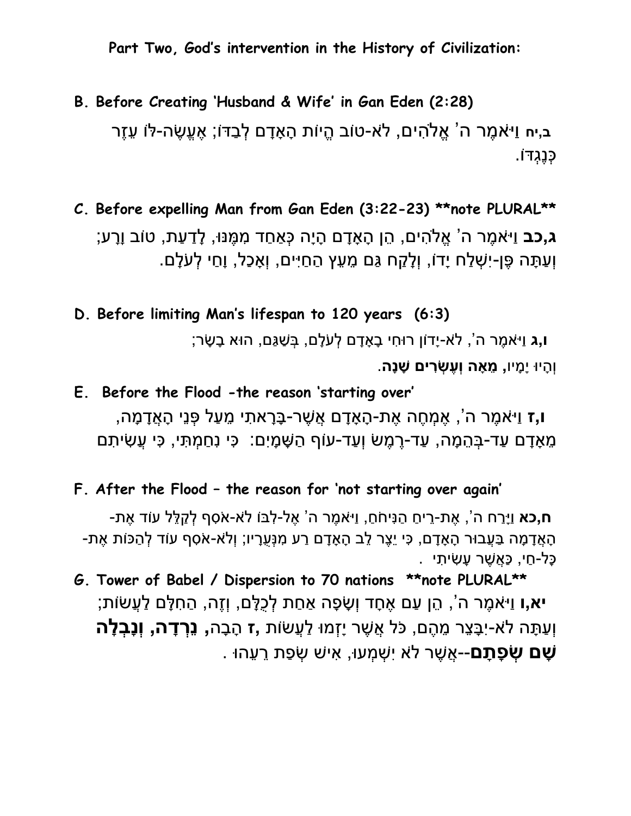**Part Two, God's intervention in the History of Civilization:**

## **B. Before Creating 'Husband & Wife' in Gan Eden (2:28)** ב,יח וי<sup>ַ</sup>אמר ה<sup>י</sup> אלהים, לֹא-טוֹב היות הַאַדם לבִדּוֹ; אֶעָשׂה-לֹו עזר כְּנֶגְּּדֹו.

**C. Before expelling Man from Gan Eden (3:22-23) \*\*note PLURAL\*\* ג,כב** וַי<sup>ָּ</sup>אמֶר ה<sup>י</sup> אֱלֹהִים, הֶן הָאָדָם הָיָה כְּאַחַד מְמֶנּוּ, לַדַעַת, טוֹב וַרָע; ּוְעַתָּה פֶּן-יִשָׁלַח יָדוֹ, וְלָקַח גַּם מֵעֵץ הַחַיִּים, וְאָכַל, וָחַי לְעֹלָם.

**D. Before limiting Man's lifespan to 120 years (6:3)**

**ו,ג** וַי אמֶ ר ה', ל א-יָדֹון רּוח י בָ אָ דָ ם לְּ ע לָם, בְּ שַ גַם, הּוא בָ שָ ר; וְּהָ יּו יָמָ יו**, מֵ אָ ה וְּעֶׂ שְּ רִ ים שָ נָה**.

**E. Before the Flood -the reason 'starting over' ו,ז** וַי אמֶ ר ה', אֶ מְּ חֶ ה אֶ ת-הָ אָ דָ ם אֲשֶ ר-בָ רָ את י מ עַ ל פְּ נ י הָ אֲדָ מָ ה, ּ מֶאָדָם עַד-בְּהֶמָה, עַד-רֶמֶשׂ וְעַד-עוֹף הַשָּׁמָיִם: כִּי נְחַמְתִּי, כִּי עֲשִׂיתִם

**F. After the Flood – the reason for 'not starting over again'**

**ח,כא** ויַרח ה', את-ריח הנּיחֹח, ויּאמר ה' אל-לבּוֹ לֹא-אֹסף לקלל עוֹד את--הָאֲדָמָה בַּעֲבוּר הָאָדָם, כִּי יֶצֶר לֶב הָאָדָם רַע מִנָּעְרָיו; וְלֹא-אֹסְף עוֹד לְהַכּוֹת אֶת ָכָּל-חַי, כַּאֲשֶׁר עָשָׂיתָי .

**G. Tower of Babel / Dispersion to 70 nations \*\*note PLURAL\*\* יא,ו** וַיּאמֶר ה<sup>י</sup>, הֵן עַם אֶחָד וְשָׂפָה אַחַת לְכֻלָּם, וְזֶה, הַחִלָּם לַעֲשׂוֹת; וְּעַתָ ה ל א-י בָ צ ר מ הֶ ם, כ ל אֲשֶ ר יָזְּמּו לַ עֲשֹות **,ז** הָ בָ ה**, נֵרְּ דָ ה, וְּנָבְּ לָ ה שָׁם שְׂפָתַם--**אֵשֶׁר לֹא יִשָּׁמֵעוּ, אִישׁ שְׂפָת רֵעֶהוּ .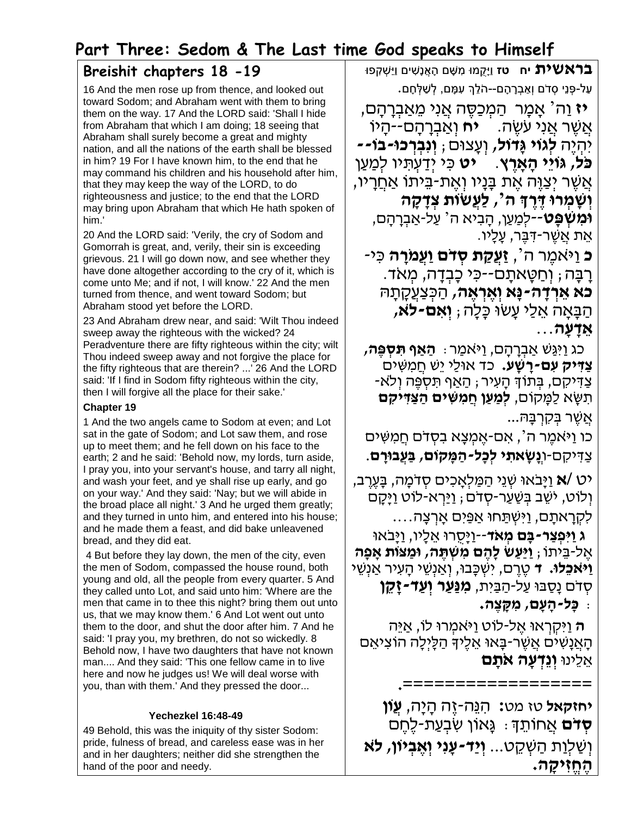### **Part Three: Sedom & The Last time God speaks to Himself**

### **Breishit chapters 18 -19**

16 And the men rose up from thence, and looked out toward Sodom; and Abraham went with them to bring them on the way. 17 And the LORD said: 'Shall I hide from Abraham that which I am doing; 18 seeing that Abraham shall surely become a great and mighty nation, and all the nations of the earth shall be blessed in him? 19 For I have known him, to the end that he may command his children and his household after him, that they may keep the way of the LORD, to do righteousness and justice; to the end that the LORD may bring upon Abraham that which He hath spoken of him.'

20 And the LORD said: 'Verily, the cry of Sodom and Gomorrah is great, and, verily, their sin is exceeding grievous. 21 I will go down now, and see whether they have done altogether according to the cry of it, which is come unto Me; and if not, I will know.' 22 And the men turned from thence, and went toward Sodom; but Abraham stood yet before the LORD.

23 And Abraham drew near, and said: 'Wilt Thou indeed sweep away the righteous with the wicked? 24 Peradventure there are fifty righteous within the city; wilt Thou indeed sweep away and not forgive the place for the fifty righteous that are therein? ...' 26 And the LORD said: 'If I find in Sodom fifty righteous within the city, then I will forgive all the place for their sake.'

### **Chapter 19**

1 And the two angels came to Sodom at even; and Lot sat in the gate of Sodom; and Lot saw them, and rose up to meet them; and he fell down on his face to the earth; 2 and he said: 'Behold now, my lords, turn aside, I pray you, into your servant's house, and tarry all night, and wash your feet, and ye shall rise up early, and go on your way.' And they said: 'Nay; but we will abide in the broad place all night.' 3 And he urged them greatly; and they turned in unto him, and entered into his house; and he made them a feast, and did bake unleavened bread, and they did eat.

4 But before they lay down, the men of the city, even the men of Sodom, compassed the house round, both young and old, all the people from every quarter. 5 And they called unto Lot, and said unto him: 'Where are the men that came in to thee this night? bring them out unto us, that we may know them.' 6 And Lot went out unto them to the door, and shut the door after him. 7 And he said: 'I pray you, my brethren, do not so wickedly. 8 Behold now, I have two daughters that have not known man.... And they said: 'This one fellow came in to live here and now he judges us! We will deal worse with you, than with them.' And they pressed the door...

### **Yechezkel 16:48-49**

49 Behold, this was the iniquity of thy sister Sodom: pride, fulness of bread, and careless ease was in her and in her daughters; neither did she strengthen the hand of the poor and needy.

בראשית **יח נוי**ַקמוּ מִשָּׁם הַאֲנַשִׁים וַיַּשַׁקְפּוּ **Σ** ּ עַל-פְּנֵי סִדֹם וְאַבְרָהָם--הֹלֵךְ עִמָּם, לְשַׁלְּחָם.

**יז** וַה<sup>י</sup> אַמַר הַמְכַסֵּה אֲנִי מֵאַבְרָהָם, אֲ שֶּ ר אֲ נִי עֹשֶּ ה. **יח** וְ א בְ רָ הָ ם--הָ יֹו יִהְ יֶּה **לְגֹוי גָּדֹול,** וְ עָ צּום; **וְ נִבְ רְ כּו-בֹו-- כֹּל, גּוֹיִי הָאַרֵץ. + יט** כִּי יִדַעְתִּיו לְמַעַן ּאֲשֶׁר יִצֲוֶּה אֶת בַּנַיו וְאֱת-בֵּיתוֹ א<u>ַחֲ</u>רִיו, **, לַעֲׂשֹות צְ דָּ קָּ ה וְ שָּ מְ רּו דֶ רֶ ְך ה' וּמִשְׁ פֵּט**'--לְמַעֵן, הָבִיא ה<sup>י</sup> עַל-אַבְרָהָם, ּ אֵת אֲשֶׁר-דִּבֵּר, עָלָיו.

**ֿכּ וַיֹּאמֶר ה´, <b>זַעֲקַת סְדֹּם וַעֲמֹרָה**ּ כִּי-ַרְבָּה; וְחַטֵּאתַם־-כִּי כַּבְדָה, מְאֹד. **כֹּא אֶרְדָּה-נַּא וְאֵרְאֶה,** הַכְּצַעֲקַתַּהּ ה בָ אָ ה אֵ ל י עָ שּו כָלָה; **וְ אִ ם-ל ֹּא, אֵ דָּ עָּ ה**...

 כג וִי גש א בְ רָ הָ ם, ו י ֹאמ ר: **הַ אַ ף תִ סְ פֶה, צדיק עם-רשע.** כד אולי יש חמשים ֿ צַדִּיקִם, בְּתוֹךְ הַעִיר ; הַאֲף תִּסְפֵּה וְלֹא-תִ שָ א ל מָ קֹום, **לְמַ עַ ן חֲ מִ שִ ים הַ צַ דִ יקִ ם** אֵשֶׁר בְּקָרְבָּה...

כו וַיֹּאמֵר ה', אִם-אֶמְצָא בִסְדֹם חֲמִשִּׁים צ דִ יקִ ם-ו**ְנָּׂשָּ אתִ י לְכָּל-הַ מָּ קֹום, בַ עֲבּורָּ ם**.

יט **/א** ו יָבֹאּו שְ נֵי ה מ לְאָ כִ ים סְ דֹמָ ה, בָ עֶּ רֶּ ב, וְ לֹוט, יֹשֵ ב בְ ש ע ר-סְ דֹם; ו י רְ א-לֹוט ו יָקָ ם לִקְ רָ אתָ ם, ו ִי ְש תחּו א פ ִים ָאְר ָצה....

**ג ַו ִי ְפ ַצר-בָּ ם מְ אֹּד**--ו יָסֻ רּו אֵ לָיו, ו יָבֹאּו אֶּ ל-בֵ יתֹו; **וַיַעַ ׂש לָּהֶ ם מִ שְ תֶ ה, ּומַ צֹות אָּ פָּה ֿוַיֹּאכֵלוּ. ד**ּ טֱרֵם, יִשְׁכָּבוּ, וְאַנְשֵׁי הָעִיר אַנְשֵׁי סְ דֹם נָס בּו ע ל-ה ב יִת, **מִ נַעַ ר וְ עַ ד-זָּקֵ ן** : **כָּל-הָּ עָּ ם, מִ קָּ צֶ ה.**

**ה** וִי ְקְראּו ֶּאל-לֹוט ו י ֹאמְ רּו לֹו, א יֵה הָאֲנָשִׁים אֲשֶׁר-בָּאוּ אֵלֶיךָ הַלָּיְלָה הוֹצִיאֵם אֵ לֵינּו **וְ נֵדְ עָּ ה אֹּתָּ ם**

**.==================**

**יחזקאל** טז מט**:** הִ נֵה-זֶּה הָ יָה, **עֲֹון ּסְדֹּם** אֲחוֹתֵךָ ּ גֵּאוֹן שִׂבְעֲת-לֶחֶם וְ ש לְו ת ה שְ קֵ ט... **וְ יַד-עָּ נִי וְ אֶ בְ יֹון, ל ֹּא הֶ חֱ זִ יקָּ ה.**